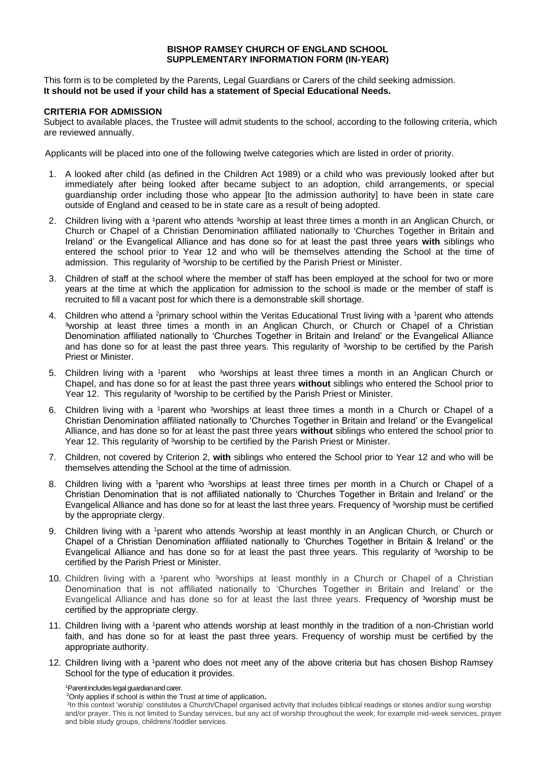## **BISHOP RAMSEY CHURCH OF ENGLAND SCHOOL SUPPLEMENTARY INFORMATION FORM (IN-YEAR)**

This form is to be completed by the Parents, Legal Guardians or Carers of the child seeking admission. **It should not be used if your child has a statement of Special Educational Needs.** 

## **CRITERIA FOR ADMISSION**

Subject to available places, the Trustee will admit students to the school, according to the following criteria, which are reviewed annually.

Applicants will be placed into one of the following twelve categories which are listed in order of priority.

- 1. A looked after child (as defined in the Children Act 1989) or a child who was previously looked after but immediately after being looked after became subject to an adoption, child arrangements, or special guardianship order including those who appear [to the admission authority] to have been in state care outside of England and ceased to be in state care as a result of being adopted.
- 2. Children living with a <sup>1</sup>parent who attends <sup>3</sup>worship at least three times a month in an Anglican Church, or Church or Chapel of a Christian Denomination affiliated nationally to 'Churches Together in Britain and Ireland' or the Evangelical Alliance and has done so for at least the past three years **with** siblings who entered the school prior to Year 12 and who will be themselves attending the School at the time of admission. This regularity of <sup>3</sup>worship to be certified by the Parish Priest or Minister.
- 3. Children of staff at the school where the member of staff has been employed at the school for two or more years at the time at which the application for admission to the school is made or the member of staff is recruited to fill a vacant post for which there is a demonstrable skill shortage.
- 4. Children who attend a <sup>2</sup>primary school within the Veritas Educational Trust living with a <sup>1</sup>parent who attends 3worship at least three times a month in an Anglican Church, or Church or Chapel of a Christian Denomination affiliated nationally to 'Churches Together in Britain and Ireland' or the Evangelical Alliance and has done so for at least the past three years. This regularity of <sup>3</sup>worship to be certified by the Parish Priest or Minister.
- 5. Children living with a 1parent who <sup>3</sup>worships at least three times a month in an Anglican Church or Chapel, and has done so for at least the past three years **without** siblings who entered the School prior to Year 12. This regularity of <sup>3</sup>worship to be certified by the Parish Priest or Minister.
- 6. Children living with a <sup>1</sup>parent who <sup>3</sup>worships at least three times a month in a Church or Chapel of a Christian Denomination affiliated nationally to 'Churches Together in Britain and Ireland' or the Evangelical Alliance, and has done so for at least the past three years **without** siblings who entered the school prior to Year 12. This regularity of <sup>3</sup>worship to be certified by the Parish Priest or Minister.
- 7. Children, not covered by Criterion 2, **with** siblings who entered the School prior to Year 12 and who will be themselves attending the School at the time of admission.
- 8. Children living with a <sup>1</sup>parent who <sup>3</sup>worships at least three times per month in a Church or Chapel of a Christian Denomination that is not affiliated nationally to 'Churches Together in Britain and Ireland' or the Evangelical Alliance and has done so for at least the last three years. Frequency of <sup>3</sup>worship must be certified by the appropriate clergy.
- 9. Children living with a <sup>1</sup>parent who attends <sup>3</sup>worship at least monthly in an Anglican Church, or Church or Chapel of a Christian Denomination affiliated nationally to 'Churches Together in Britain & Ireland' or the Evangelical Alliance and has done so for at least the past three years. This regularity of <sup>3</sup>worship to be certified by the Parish Priest or Minister.
- 10. Children living with a <sup>1</sup>parent who <sup>3</sup>worships at least monthly in a Church or Chapel of a Christian Denomination that is not affiliated nationally to 'Churches Together in Britain and Ireland' or the Evangelical Alliance and has done so for at least the last three years. Frequency of <sup>3</sup>worship must be certified by the appropriate clergy.
- 11. Children living with a <sup>1</sup>parent who attends worship at least monthly in the tradition of a non-Christian world faith, and has done so for at least the past three years. Frequency of worship must be certified by the appropriate authority.
- 12. Children living with a <sup>1</sup>parent who does not meet any of the above criteria but has chosen Bishop Ramsey School for the type of education it provides.

<sup>1</sup>Parent includes legal guardian and carer.

<sup>2</sup>Only applies if school is within the Trust at time of application**.**

<sup>3</sup>In this context 'worship' constitutes a Church/Chapel organised activity that includes biblical readings or stories and/or sung worship and/or prayer. This is not limited to Sunday services, but any act of worship throughout the week, for example mid-week services, prayer and bible study groups, childrens'/toddler services.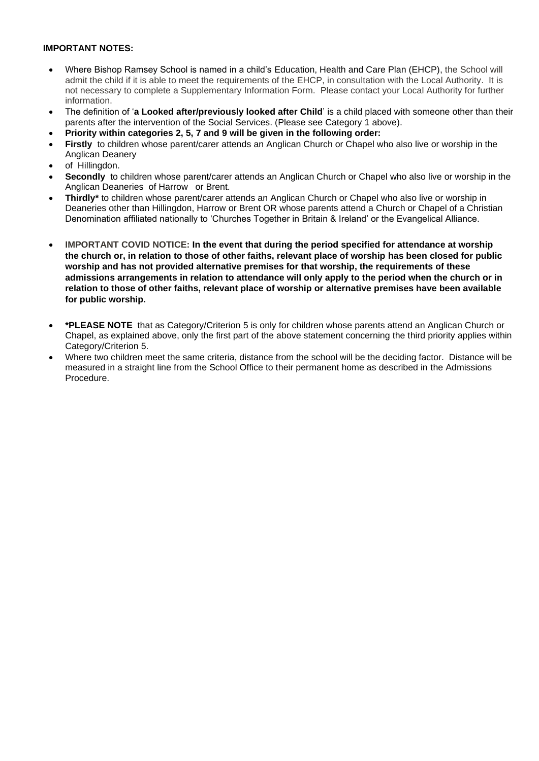## **IMPORTANT NOTES:**

- Where Bishop Ramsey School is named in a child's Education, Health and Care Plan (EHCP), the School will admit the child if it is able to meet the requirements of the EHCP, in consultation with the Local Authority. It is not necessary to complete a Supplementary Information Form. Please contact your Local Authority for further information.
- The definition of '**a Looked after/previously looked after Child**' is a child placed with someone other than their parents after the intervention of the Social Services. (Please see Category 1 above).
- **Priority within categories 2, 5, 7 and 9 will be given in the following order:**
- **Firstly** to children whose parent/carer attends an Anglican Church or Chapel who also live or worship in the Anglican Deanery
- of Hillingdon.
- **Secondly** to children whose parent/carer attends an Anglican Church or Chapel who also live or worship in the Anglican Deaneries of Harrow or Brent.
- **Thirdly\*** to children whose parent/carer attends an Anglican Church or Chapel who also live or worship in Deaneries other than Hillingdon, Harrow or Brent OR whose parents attend a Church or Chapel of a Christian Denomination affiliated nationally to 'Churches Together in Britain & Ireland' or the Evangelical Alliance.
- **IMPORTANT COVID NOTICE: In the event that during the period specified for attendance at worship the church or, in relation to those of other faiths, relevant place of worship has been closed for public worship and has not provided alternative premises for that worship, the requirements of these admissions arrangements in relation to attendance will only apply to the period when the church or in relation to those of other faiths, relevant place of worship or alternative premises have been available for public worship.**
- **\*PLEASE NOTE** that as Category/Criterion 5 is only for children whose parents attend an Anglican Church or Chapel, as explained above, only the first part of the above statement concerning the third priority applies within Category/Criterion 5.
- Where two children meet the same criteria, distance from the school will be the deciding factor. Distance will be measured in a straight line from the School Office to their permanent home as described in the Admissions Procedure.